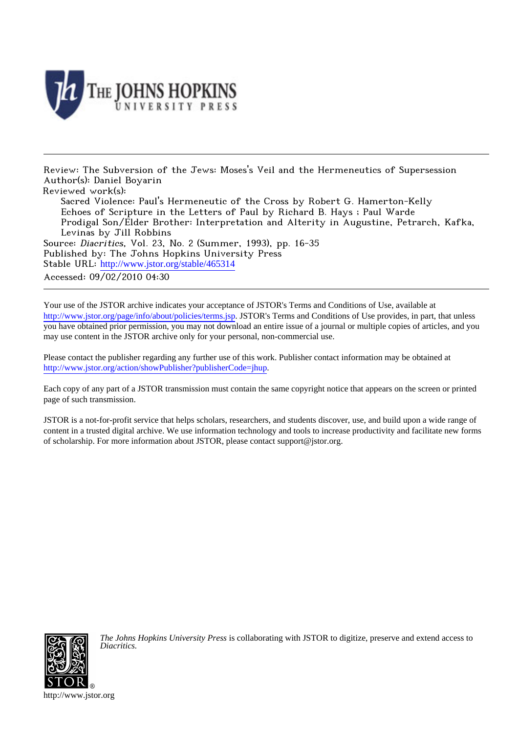

Review: The Subversion of the Jews: Moses's Veil and the Hermeneutics of Supersession Author(s): Daniel Boyarin Reviewed work(s): Sacred Violence: Paul's Hermeneutic of the Cross by Robert G. Hamerton-Kelly Echoes of Scripture in the Letters of Paul by Richard B. Hays ; Paul Warde Prodigal Son/Elder Brother: Interpretation and Alterity in Augustine, Petrarch, Kafka, Levinas by Jill Robbins Source: Diacritics, Vol. 23, No. 2 (Summer, 1993), pp. 16-35 Published by: The Johns Hopkins University Press

Stable URL: [http://www.jstor.org/stable/465314](http://www.jstor.org/stable/465314?origin=JSTOR-pdf) Accessed: 09/02/2010 04:30

Your use of the JSTOR archive indicates your acceptance of JSTOR's Terms and Conditions of Use, available at <http://www.jstor.org/page/info/about/policies/terms.jsp>. JSTOR's Terms and Conditions of Use provides, in part, that unless you have obtained prior permission, you may not download an entire issue of a journal or multiple copies of articles, and you may use content in the JSTOR archive only for your personal, non-commercial use.

Please contact the publisher regarding any further use of this work. Publisher contact information may be obtained at [http://www.jstor.org/action/showPublisher?publisherCode=jhup.](http://www.jstor.org/action/showPublisher?publisherCode=jhup)

Each copy of any part of a JSTOR transmission must contain the same copyright notice that appears on the screen or printed page of such transmission.

JSTOR is a not-for-profit service that helps scholars, researchers, and students discover, use, and build upon a wide range of content in a trusted digital archive. We use information technology and tools to increase productivity and facilitate new forms of scholarship. For more information about JSTOR, please contact support@jstor.org.



*The Johns Hopkins University Press* is collaborating with JSTOR to digitize, preserve and extend access to *Diacritics.*

http://www.jstor.org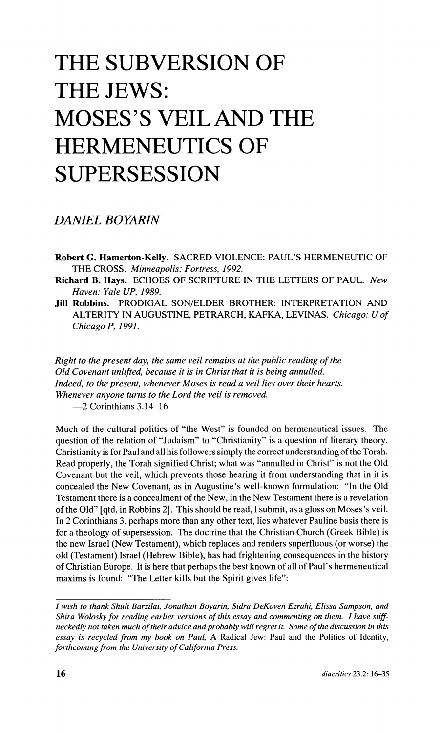## **THE SUBVERSION OF THE JEWS: MOSES'S VEIL AND THE HERMENEUTICS OF SUPERSESSION**

**DANIEL BOYARIN** 

**Robert G. Hamerton-Kelly. SACRED VIOLENCE: PAUL'S HERMENEUTIC OF THE CROSS. Minneapolis: Fortress, 1992.** 

**Richard B. Hays. ECHOES OF SCRIPTURE IN THE LETTERS OF PAUL. New Haven: Yale UP, 1989.** 

**Jill Robbins. PRODIGAL SON/ELDER BROTHER: INTERPRETATION AND ALTERITY IN AUGUSTINE, PETRARCH, KAFKA, LEVINAS. Chicago: U of Chicago P, 1991.** 

**Right to the present day, the same veil remains at the public reading of the Old Covenant unlifted, because it is in Christ that it is being annulled. Indeed, to the present, whenever Moses is read a veil lies over their hearts. Whenever anyone turns to the Lord the veil is removed. 2 Corinthians 3.14-16** 

**Much of the cultural politics of "the West" is founded on hermeneutical issues. The question of the relation of "Judaism" to "Christianity" is a question of literary theory. Christianity is for Paul and all his followers simply the correct understanding of the Torah. Read properly, the Torah signified Christ; what was "annulled in Christ" is not the Old Covenant but the veil, which prevents those hearing it from understanding that in it is concealed the New Covenant, as in Augustine's well-known formulation: "In the Old Testament there is a concealment of the New, in the New Testament there is a revelation of the Old" [qtd. in Robbins 2]. This should be read, I submit, as a gloss on Moses's veil. In 2 Corinthians 3, perhaps more than any other text, lies whatever Pauline basis there is for a theology of supersession. The doctrine that the Christian Church (Greek Bible) is the new Israel (New Testament), which replaces and renders superfluous (or worse) the old (Testament) Israel (Hebrew Bible), has had frightening consequences in the history of Christian Europe. It is here that perhaps the best known of all of Paul's hermeneutical maxims is found: "The Letter kills but the Spirit gives life":** 

**I wish to thank Shuli Barzilai, Jonathan Boyarin, Sidra DeKoven Ezrahi, Elissa Sampson, and Shira Wolosky for reading earlier versions of this essay and commenting on them. I have stiffneckedly not taken much of their advice and probably will regret it. Some of the discussion in this essay is recycled from my book on Paul, A Radical Jew: Paul and the Politics of Identity, forthcoming from the University of California Press.**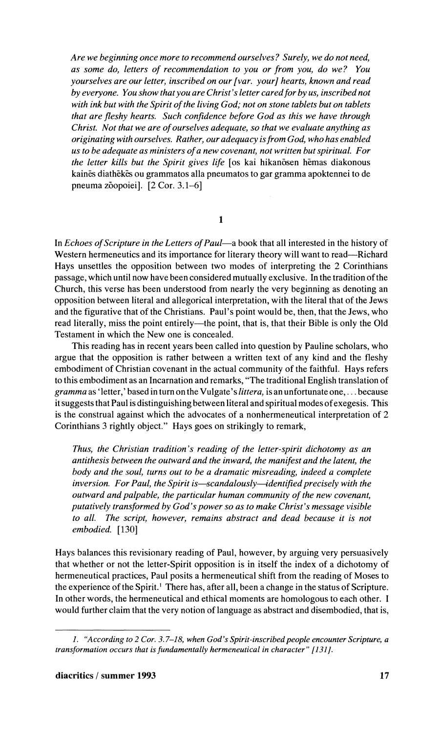**Are we beginning once more to recommend ourselves? Surely, we do not need, as some do, letters of recommendation to you or from you, do we? You yourselves are our letter, inscribed on our [var. your] hearts, known and read by everyone. You show thatyou are Christ's letter caredfor by us, inscribed not with ink but with the Spirit of the living God; not on stone tablets but on tablets that are fleshy hearts. Such confidence before God as this we have through Christ. Not that we are of ourselves adequate, so that we evaluate anything as originating with ourselves. Rather, our adequacy is from God, who has enabled us to be adequate as ministers of a new covenant, not written but spiritual. For**  the letter kills but the Spirit gives life [os kai hikanosen hemas diakonous **kaines diathekes ou grammatos alla pneumatos to gar gramma apoktennei to de pneuma zoopoiei]. [2 Cor. 3.1-6]** 

**1** 

In *Echoes of Scripture in the Letters of Paul*—a book that all interested in the history of **Western hermeneutics and its importance for literary theory will want to read-Richard Hays unsettles the opposition between two modes of interpreting the 2 Corinthians passage, which until now have been considered mutually exclusive. In the tradition of the Church, this verse has been understood from nearly the very beginning as denoting an opposition between literal and allegorical interpretation, with the literal that of the Jews and the figurative that of the Christians. Paul's point would be, then, that the Jews, who**  read literally, miss the point entirely—the point, that is, that their Bible is only the Old **Testament in which the New one is concealed.** 

**This reading has in recent years been called into question by Pauline scholars, who argue that the opposition is rather between a written text of any kind and the fleshy embodiment of Christian covenant in the actual community of the faithful. Hays refers to this embodiment as an Incarnation and remarks, "The traditional English translation of gramma as 'letter,' based in turn on the Vulgate's littera, is an unfortunate one,... because it suggests that Paul is distinguishing between literal and spiritual modes of exegesis. This is the construal against which the advocates of a nonhermeneutical interpretation of 2 Corinthians 3 rightly object." Hays goes on strikingly to remark,** 

**Thus, the Christian tradition's reading of the letter-spirit dichotomy as an antithesis between the outward and the inward, the manifest and the latent, the body and the soul, turns out to be a dramatic misreading, indeed a complete**  inversion. For Paul, the Spirit is—scandalously—identified precisely with the **outward and palpable, the particular human community of the new covenant, putatively transformed by God's power so as to make Christ's message visible to all. The script, however, remains abstract and dead because it is not embodied. [130]** 

**Hays balances this revisionary reading of Paul, however, by arguing very persuasively that whether or not the letter-Spirit opposition is in itself the index of a dichotomy of hermeneutical practices, Paul posits a hermeneutical shift from the reading of Moses to**  the experience of the Spirit.<sup>1</sup> There has, after all, been a change in the status of Scripture. **In other words, the hermeneutical and ethical moments are homologous to each other. I would further claim that the very notion of language as abstract and disembodied, that is,** 

**<sup>1. &</sup>quot;According to 2 Cor. 3.7-18, when God's Spirit-inscribed people encounter Scripture, a transformation occurs that is fundamentally hermeneutical in character" [131].**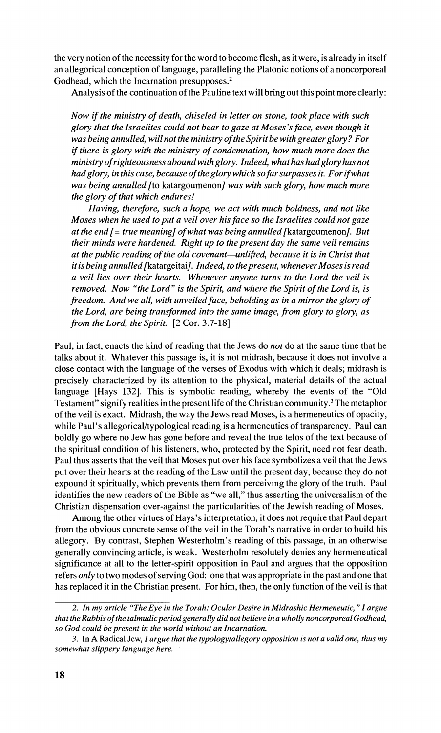**the very notion of the necessity for the word to become flesh, as it were, is already in itself an allegorical conception of language, paralleling the Platonic notions of a noncorporeal Godhead, which the Incarnation presupposes.2** 

**Analysis of the continuation of the Pauline text will bring out this point more clearly:** 

**Now if the ministry of death, chiseled in letter on stone, took place with such glory that the Israelites could not bear to gaze at Moses's face, even though it was being annulled, will not the ministry of the Spirit be with greater glory ? For if there is glory with the ministry of condemnation, how much more does the ministry of righteousness abound with glory. Indeed, what has had glory has not had glory, in this case, because of the glory which so far surpasses it. For if what**  was being annulled [to katargoumenon] was with such glory, how much more **the glory of that which endures!** 

**Having, therefore, such a hope, we act with much boldness, and not like Moses when he used to put a veil over his face so the Israelites could not gaze at the end [= true meaning] of what was being annulled [katargoumenon]. But their minds were hardened. Right up to the present day the same veil remains**  at the public reading of the old covenant-unlifted, because it is in Christ that it is being annulled [katargeitai]. Indeed, to the present, whenever Moses is read **a veil lies over their hearts. Whenever anyone turns to the Lord the veil is removed. Now "the Lord" is the Spirit, and where the Spirit of the Lord is, is freedom. And we all, with unveiled face, beholding as in a mirror the glory of the Lord, are being transformed into the same image, from glory to glory, as from the Lord, the Spirit. [2 Cor. 3.7-18]** 

**Paul, in fact, enacts the kind of reading that the Jews do not do at the same time that he talks about it. Whatever this passage is, it is not midrash, because it does not involve a close contact with the language of the verses of Exodus with which it deals; midrash is precisely characterized by its attention to the physical, material details of the actual language [Hays 132]. This is symbolic reading, whereby the events of the "Old Testament" signify realities in the present life of the Christian community.3 The metaphor of the veil is exact. Midrash, the way the Jews read Moses, is a hermeneutics of opacity, while Paul's allegorical/typological reading is a hermeneutics of transparency. Paul can boldly go where no Jew has gone before and reveal the true telos of the text because of the spiritual condition of his listeners, who, protected by the Spirit, need not fear death. Paul thus asserts that the veil that Moses put over his face symbolizes a veil that the Jews put over their hearts at the reading of the Law until the present day, because they do not expound it spiritually, which prevents them from perceiving the glory of the truth. Paul identifies the new readers of the Bible as "we all," thus asserting the universalism of the Christian dispensation over-against the particularities of the Jewish reading of Moses.** 

**Among the other virtues of Hays's interpretation, it does not require that Paul depart from the obvious concrete sense of the veil in the Torah's narrative in order to build his allegory. By contrast, Stephen Westerholm's reading of this passage, in an otherwise generally convincing article, is weak. Westerholm resolutely denies any hermeneutical significance at all to the letter-spirit opposition in Paul and argues that the opposition refers only to two modes of serving God: one that was appropriate in the past and one that has replaced it in the Christian present. For him, then, the only function of the veil is that** 

**<sup>2.</sup> In my article "The Eye in the Torah: Ocular Desire in Midrashic Hermeneutic, " I argue that the Rabbis of the talmudic period generally did not believe in a wholly noncorporeal Godhead, so God could be present in the world without an Incarnation.** 

**<sup>3.</sup> In A Radical Jew, I argue that the typology/allegory opposition is not a valid one, thus my somewhat slippery language here.**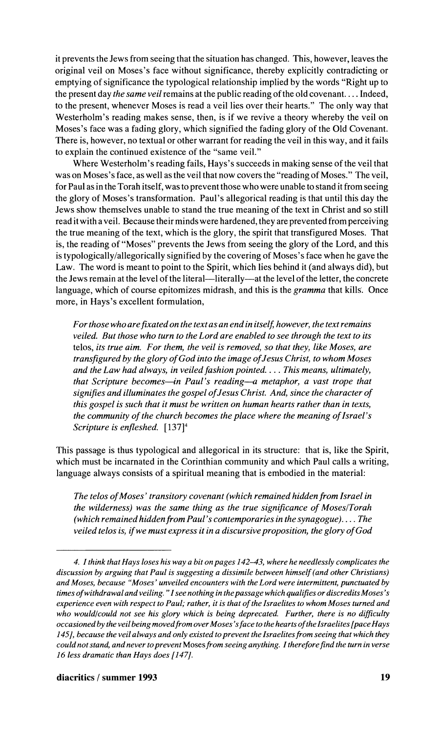**it prevents the Jews from seeing that the situation has changed. This, however, leaves the original veil on Moses's face without significance, thereby explicitly contradicting or emptying of significance the typological relationship implied by the words "Right up to the present day the same veil remains at the public reading of the old covenant.... Indeed, to the present, whenever Moses is read a veil lies over their hearts." The only way that Westerholm's reading makes sense, then, is if we revive a theory whereby the veil on Moses's face was a fading glory, which signified the fading glory of the Old Covenant. There is, however, no textual or other warrant for reading the veil in this way, and it fails to explain the continued existence of the "same veil."** 

**Where Westerholm's reading fails, Hays's succeeds in making sense of the veil that was on Moses's face, as well as the veil that now covers the "reading of Moses." The veil, for Paul as in the Torah itself, was to prevent those who were unable to stand it from seeing the glory of Moses's transformation. Paul's allegorical reading is that until this day the Jews show themselves unable to stand the true meaning of the text in Christ and so still read it with a veil. Because their minds were hardened, they are prevented from perceiving the true meaning of the text, which is the glory, the spirit that transfigured Moses. That is, the reading of "Moses" prevents the Jews from seeing the glory of the Lord, and this is typologically/allegorically signified by the covering of Moses's face when he gave the Law. The word is meant to point to the Spirit, which lies behind it (and always did), but the Jews remain at the level of the literal-literally-at the level of the letter, the concrete language, which of course epitomizes midrash, and this is the gramma that kills. Once more, in Hays's excellent formulation,** 

**For those who are fixated on the text as an end in itself, however, the text remains veiled. But those who turn to the Lord are enabled to see through the text to its telos, its true aim. For them, the veil is removed, so that they, like Moses, are transfigured by the glory of God into the image ofJesus Christ, to whom Moses and the Law had always, in veiled fashion pointed.... This means, ultimately, that Scripture becomes-in Paul's reading-a metaphor, a vast trope that signifies and illuminates the gospel ofJesus Christ. And, since the character of this gospel is such that it must be written on human hearts rather than in texts, the community of the church becomes the place where the meaning of Israel's Scripture is enfleshed. [137]4** 

**This passage is thus typological and allegorical in its structure: that is, like the Spirit, which must be incarnated in the Corinthian community and which Paul calls a writing, language always consists of a spiritual meaning that is embodied in the material:** 

**The telos of Moses' transitory covenant (which remained hidden from Israel in the wilderness) was the same thing as the true significance of Moses/Torah (which remained hidden from Paul's contemporaries in the synagogue).... The veiled telos is, if we must express it in a discursive proposition, the glory of God** 

**<sup>4.</sup> I think that Hays loses his way a bit on pages 142-43, where he needlessly complicates the discussion by arguing that Paul is suggesting a dissimile between himself (and other Christians) and Moses, because "Moses' unveiled encounters with the Lord were intermittent, punctuated by times of withdrawal and veiling. "I see nothing in the passage which qualifies or discredits Moses's experience even with respect to Paul; rather, it is that of the Israelites to whom Moses turned and who would/could not see his glory which is being deprecated. Further, there is no difficulty occasioned by the veil being movedfrom overMoses 'sface to the hearts of the Israelites [pace Hays 145], because the veil always and only existed to prevent the Israelites from seeing that which they could not stand, and never toprevent Mosesfrom seeing anything. I thereforefind the turn in verse 16 less dramatic than Hays does [147].**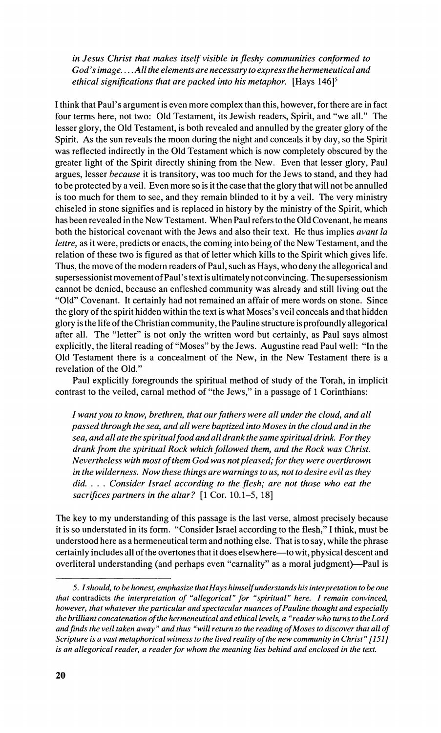**in Jesus Christ that makes itself visible in fleshy communities conformed to God's image.... All the elements are necessary to express the hermeneutical and ethical significations that are packed into his metaphor. [Hays 146]5** 

**I think that Paul's argument is even more complex than this, however, for there are in fact four terms here, not two: Old Testament, its Jewish readers, Spirit, and "we all." The lesser glory, the Old Testament, is both revealed and annulled by the greater glory of the Spirit. As the sun reveals the moon during the night and conceals it by day, so the Spirit was reflected indirectly in the Old Testament which is now completely obscured by the greater light of the Spirit directly shining from the New. Even that lesser glory, Paul argues, lesser because it is transitory, was too much for the Jews to stand, and they had to be protected by a veil. Even more so is it the case that the glory that will not be annulled is too much for them to see, and they remain blinded to it by a veil. The very ministry chiseled in stone signifies and is replaced in history by the ministry of the Spirit, which has been revealed in the New Testament. When Paul refers to the Old Covenant, he means both the historical covenant with the Jews and also their text. He thus implies avant la lettre, as it were, predicts or enacts, the coming into being of the New Testament, and the relation of these two is figured as that of letter which kills to the Spirit which gives life. Thus, the move of the modern readers of Paul, such as Hays, who deny the allegorical and supersessionist movement of Paul's text is ultimately not convincing. The supersessionism cannot be denied, because an enfleshed community was already and still living out the "Old" Covenant. It certainly had not remained an affair of mere words on stone. Since the glory of the spirit hidden within the text is what Moses's veil conceals and that hidden glory is the life of the Christian community, the Pauline structure is profoundly allegorical after all. The "letter" is not only the written word but certainly, as Paul says almost explicitly, the literal reading of "Moses" by the Jews. Augustine read Paul well: "In the Old Testament there is a concealment of the New, in the New Testament there is a revelation of the Old."** 

**Paul explicitly foregrounds the spiritual method of study of the Torah, in implicit contrast to the veiled, carnal method of "the Jews," in a passage of 1 Corinthians:** 

**I want you to know, brethren, that our fathers were all under the cloud, and all passed through the sea, and all were baptized into Moses in the cloud and in the sea, and all ate the spiritualfood and all drank the same spiritual drink. For they drank from the spiritual Rock which followed them, and the Rock was Christ. Nevertheless with most of them God was not pleased; for they were overthrown in the wilderness. Now these things are warnings to us, not to desire evil as they did.... Consider Israel according to the flesh; are not those who eat the**  sacrifices partners in the altar? [1 Cor. 10.1–5, 18]

**The key to my understanding of this passage is the last verse, almost precisely because it is so understated in its form. "Consider Israel according to the flesh," I think, must be understood here as a hermeneutical term and nothing else. That is to say, while the phrase**  certainly includes all of the overtones that it does elsewhere—to wit, physical descent and overliteral understanding (and perhaps even "carnality" as a moral judgment)—Paul is

**<sup>5.</sup> I should, to be honest, emphasize that Hays himself understands his interpretation to be one that contradicts the interpretation of "allegorical" for "spiritual" here. I remain convinced, however, that whatever the particular and spectacular nuances of Pauline thought and especially the brilliant concatenation of the hermeneutical and ethical levels, a "reader who turns to the Lord and finds the veil taken away " and thus "will return to the reading of Moses to discover that all of Scripture is a vast metaphorical witness to the lived reality of the new community in Christ" [151] is an allegorical reader, a reader for whom the meaning lies behind and enclosed in the text.**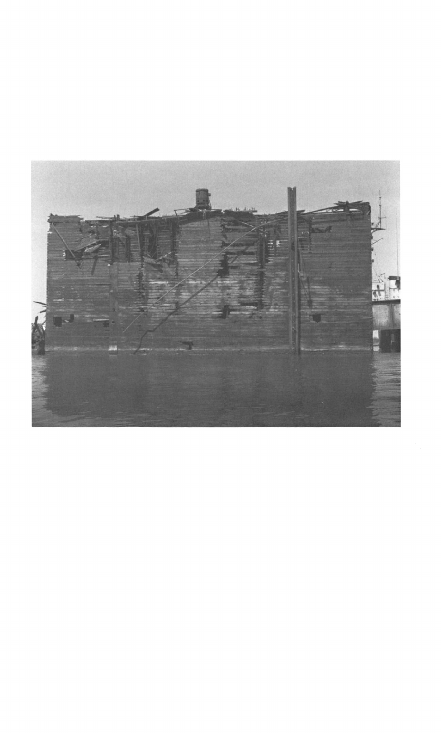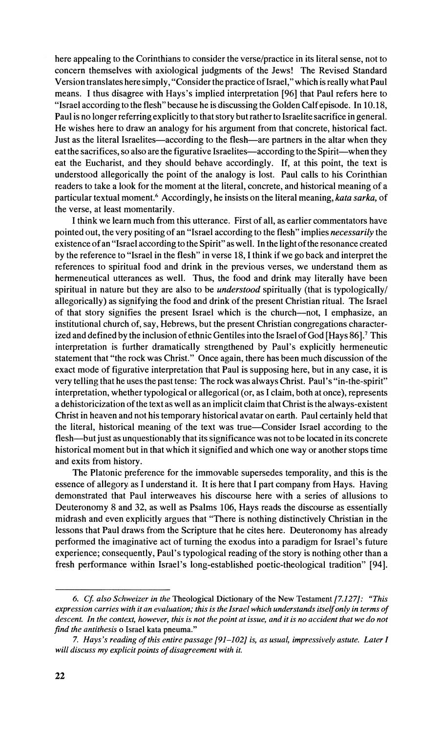**here appealing to the Corinthians to consider the verse/practice in its literal sense, not to concern themselves with axiological judgments of the Jews! The Revised Standard Version translates here simply, "Consider the practice of Israel," which is really what Paul means. I thus disagree with Hays's implied interpretation [96] that Paul refers here to "Israel according to the flesh" because he is discussing the Golden Calfepisode. In 10.18, Paul is no longer referring explicitly to that story but rather to Israelite sacrifice in general. He wishes here to draw an analogy for his argument from that concrete, historical fact. Just as the literal Israelites-according to the flesh-are partners in the altar when they eat the sacrifices, so also are the figurative Israelites-according to the Spirit-when they eat the Eucharist, and they should behave accordingly. If, at this point, the text is understood allegorically the point of the analogy is lost. Paul calls to his Corinthian readers to take a look for the moment at the literal, concrete, and historical meaning of a particular textual moment.6 Accordingly, he insists on the literal meaning, kata sarka, of the verse, at least momentarily.** 

**I think we learn much from this utterance. First of all, as earlier commentators have pointed out, the very positing of an "Israel according to the flesh" implies necessarily the existence of an "Israel according to the Spirit" as well. In the light of the resonance created by the reference to "Israel in the flesh" in verse 18, I think if we go back and interpret the references to spiritual food and drink in the previous verses, we understand them as hermeneutical utterances as well. Thus, the food and drink may literally have been spiritual in nature but they are also to be understood spiritually (that is typologically/ allegorically) as signifying the food and drink of the present Christian ritual. The Israel of that story signifies the present Israel which is the church-not, I emphasize, an institutional church of, say, Hebrews, but the present Christian congregations characterized and defined by the inclusion of ethnic Gentiles into the Israel of God [Hays 86].7 This interpretation is further dramatically strengthened by Paul's explicitly hermeneutic statement that "the rock was Christ." Once again, there has been much discussion of the exact mode of figurative interpretation that Paul is supposing here, but in any case, it is very telling that he uses the past tense: The rock was always Christ. Paul's "in-the-spirit" interpretation, whether typological or allegorical (or, as I claim, both at once), represents a dehistoricization of the text as well as an implicit claim that Christ is the always-existent Christ in heaven and not his temporary historical avatar on earth. Paul certainly held that the literal, historical meaning of the text was true-Consider Israel according to the flesh-but just as unquestionably that its significance was not to be located in its concrete historical moment but in that which it signified and which one way or another stops time and exits from history.** 

**The Platonic preference for the immovable supersedes temporality, and this is the essence of allegory as I understand it. It is here that I part company from Hays. Having demonstrated that Paul interweaves his discourse here with a series of allusions to Deuteronomy 8 and 32, as well as Psalms 106, Hays reads the discourse as essentially midrash and even explicitly argues that "There is nothing distinctively Christian in the lessons that Paul draws from the Scripture that he cites here. Deuteronomy has already performed the imaginative act of turning the exodus into a paradigm for Israel's future experience; consequently, Paul's typological reading of the story is nothing other than a fresh performance within Israel's long-established poetic-theological tradition" [94].** 

**<sup>6.</sup> Cf. also Schweizer in the Theological Dictionary of the New Testament [7.127]: "This expression carries with it an evaluation; this is the Israel which understands itself only in terms of descent. In the context, however, this is not the point at issue, and it is no accident that we do not find the antithesis o Israel kata pneuma."** 

**<sup>7.</sup> Hays's reading of this entire passage [91-102] is, as usual, impressively astute. Later I will discuss my explicit points of disagreement with it.**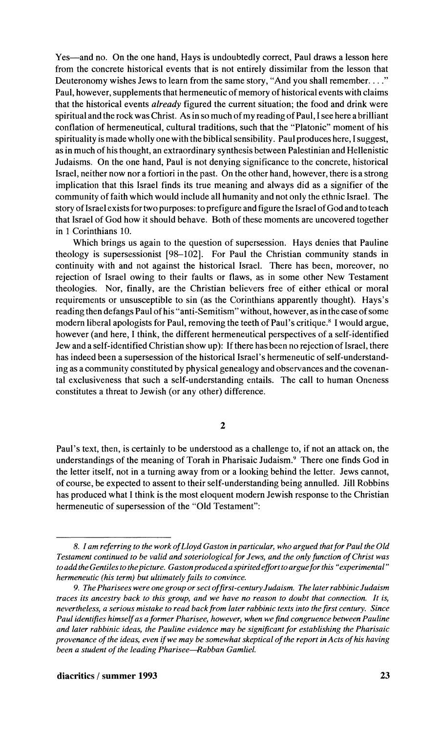Yes-and no. On the one hand, Hays is undoubtedly correct, Paul draws a lesson here **from the concrete historical events that is not entirely dissimilar from the lesson that Deuteronomy wishes Jews to learn from the same story, "And you shall remember...." Paul, however, supplements that hermeneutic of memory of historical events with claims that the historical events already figured the current situation; the food and drink were spiritual and the rock was Christ. As in so much of my reading of Paul, I see here a brilliant conflation of hermeneutical, cultural traditions, such that the "Platonic" moment of his spirituality is made wholly one with the biblical sensibility. Paul produces here, I suggest, as in much of his thought, an extraordinary synthesis between Palestinian and Hellenistic Judaisms. On the one hand, Paul is not denying significance to the concrete, historical Israel, neither now nor a fortiori in the past. On the other hand, however, there is a strong implication that this Israel finds its true meaning and always did as a signifier of the community of faith which would include all humanity and not only the ethnic Israel. The story of Israel exists for two purposes: to prefigure and figure the Israel of God and to teach that Israel of God how it should behave. Both of these moments are uncovered together in 1 Corinthians 10.** 

**Which brings us again to the question of supersession. Hays denies that Pauline theology is supersessionist [98-102]. For Paul the Christian community stands in continuity with and not against the historical Israel. There has been, moreover, no rejection of Israel owing to their faults or flaws, as in some other New Testament theologies. Nor, finally, are the Christian believers free of either ethical or moral requirements or unsusceptible to sin (as the Corinthians apparently thought). Hays's reading then defangs Paul of his "anti-Semitism" without, however, as in the case of some modern liberal apologists for Paul, removing the teeth of Paul's critique.8 I would argue, however (and here, I think, the different hermeneutical perspectives of a self-identified Jew and a self-identified Christian show up): If there has been no rejection of Israel, there has indeed been a supersession of the historical Israel's hermeneutic of self-understanding as a community constituted by physical genealogy and observances and the covenantal exclusiveness that such a self-understanding entails. The call to human Oneness constitutes a threat to Jewish (or any other) difference.** 

**Paul's text, then, is certainly to be understood as a challenge to, if not an attack on, the understandings of the meaning of Torah in Pharisaic Judaism.9 There one finds God in the letter itself, not in a turning away from or a looking behind the letter. Jews cannot, of course, be expected to assent to their self-understanding being annulled. Jill Robbins has produced what I think is the most eloquent modern Jewish response to the Christian hermeneutic of supersession of the "Old Testament":** 

**<sup>8.</sup> I am referring to the work of Lloyd Gaston in particular, who argued that for Paul the Old Testament continued to be valid and soteriological for Jews, and the only function of Christ was to add the Gentiles to thepicture. Gastonproduced a spirited effort to argue for this "experimental" hermeneutic (his term) but ultimately fails to convince.** 

**<sup>9.</sup> ThePharisees were one group or sect offirst-century Judaism. The later rabbinic Judaism traces its ancestry back to this group, and we have no reason to doubt that connection. It is, nevertheless, a serious mistake to read back from later rabbinic texts into thefirst century. Since Paul identifies himself as a former Pharisee, however, when we find congruence between Pauline and later rabbinic ideas, the Pauline evidence may be significant for establishing the Pharisaic provenance of the ideas, even if we may be somewhat skeptical of the report in Acts of his having been a student of the leading Pharisee-Rabban Gamliel.**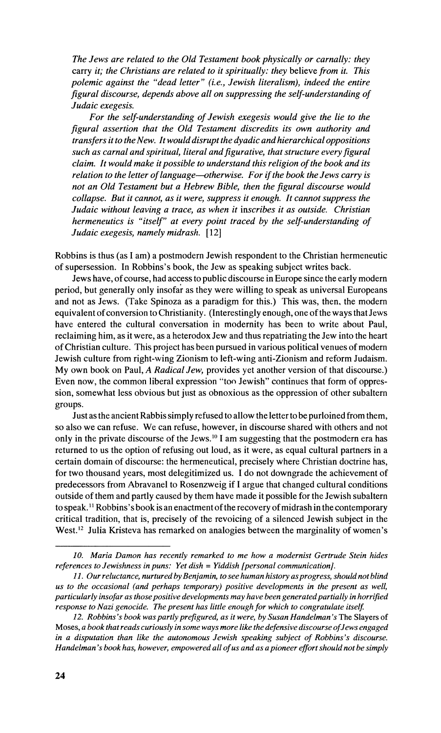**The Jews are related to the Old Testament book physically or carnally: they carry it; the Christians are related to it spiritually: they believe from it. This polemic against the "dead letter" (i.e., Jewish literalism), indeed the entire figural discourse, depends above all on suppressing the self-understanding of Judaic exegesis.** 

**For the self-understanding of Jewish exegesis would give the lie to the figural assertion that the Old Testament discredits its own authority and transfers it to the New. It would disrupt the dyadic and hierarchical oppositions such as carnal and spiritual, literal and figurative, that structure every figural claim. It would make it possible to understand this religion of the book and its relation to the letter of language-otherwise. For if the book the Jews carry is not an Old Testament but a Hebrew Bible, then the figural discourse would collapse. But it cannot, as it were, suppress it enough. It cannot suppress the Judaic without leaving a trace, as when it inscribes it as outside. Christian hermeneutics is "itself" at every point traced by the self-understanding of Judaic exegesis, namely midrash. [12]** 

**Robbins is thus (as I am) a postmodern Jewish respondent to the Christian hermeneutic of supersession. In Robbins's book, the Jew as speaking subject writes back.** 

**Jews have, of course, had access to public discourse in Europe since the early modern period, but generally only insofar as they were willing to speak as universal Europeans and not as Jews. (Take Spinoza as a paradigm for this.) This was, then, the modern equivalent of conversion to Christianity. (Interestingly enough, one of the ways that Jews have entered the cultural conversation in modernity has been to write about Paul, reclaiming him, as it were, as a heterodox Jew and thus repatriating the Jew into the heart of Christian culture. This project has been pursued in various political venues of modern Jewish culture from right-wing Zionism to left-wing anti-Zionism and reform Judaism. My own book on Paul, A Radical Jew, provides yet another version of that discourse.) Even now, the common liberal expression "ton Jewish" continues that form of oppression, somewhat less obvious but just as obnoxious as the oppression of other subaltern groups.** 

**Just as the ancient Rabbis simply refused to allow the letter to be purloined from them, so also we can refuse. We can refuse, however, in discourse shared with others and not only in the private discourse of the Jews."' I am suggesting that the postmodern era has returned to us the option of refusing out loud, as it were, as equal cultural partners in a certain domain of discourse: the hermeneutical, precisely where Christian doctrine has, for two thousand years, most delegitimized us. I do not downgrade the achievement of predecessors from Abravanel to Rosenzweig if I argue that changed cultural conditions outside of them and partly caused by them have made it possible for the Jewish subaltern**  to speak.<sup>11</sup> Robbins's book is an enactment of the recovery of midrash in the contemporary **critical tradition, that is, precisely of the revoicing of a silenced Jewish subject in the West.12 Julia Kristeva has remarked on analogies between the marginality of women's** 

**<sup>10.</sup> Maria Damon has recently remarked to me how a modernist Gertrude Stein hides references to Jewishness in puns: Yet dish = Yiddish [personal communication].** 

**<sup>11.</sup> Our reluctance, nurtured by Benjamin, to see human history asprogress, should not blind us to the occasional (and perhaps temporary) positive developments in the present as well, particularly insofar as those positive developments may have been generated partially in horrified response to Nazi genocide. The present has little enough for which to congratulate itself.** 

**<sup>12.</sup> Robbins's book was partly prefigured, as it were, by Susan Handelman 's The Slayers of Moses, a book that reads curiously in some ways more like the defensive discourse ofJews engaged in a disputation than like the autonomous Jewish speaking subject of Robbins's discourse. Handelman 's book has, however, empowered all of us and as a pioneer effort should not be simply**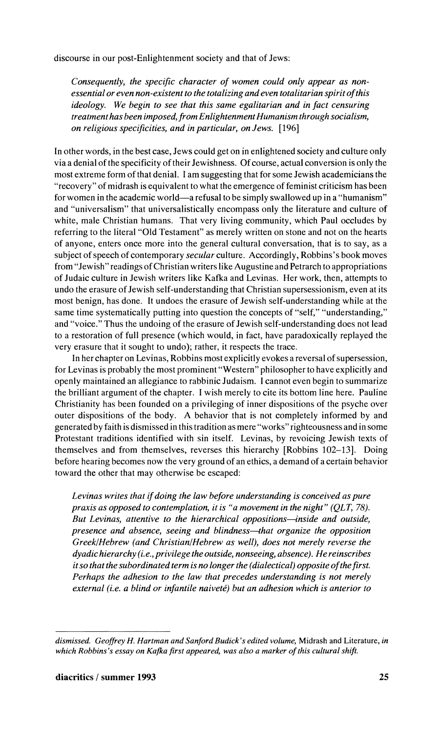**discourse in our post-Enlightenment society and that of Jews:** 

**Consequently, the specific character of women could only appear as nonessential or even non-existent to the totalizing and even totalitarian spirit of this ideology. We begin to see that this same egalitarian and in fact censuring treatment has been imposed, from Enlightenment Humanism through socialism, on religious specificities, and in particular, on Jews. [196]** 

**In other words, in the best case, Jews could get on in enlightened society and culture only via a denial of the specificity of their Jewishness. Of course, actual conversion is only the most extreme form of that denial. I am suggesting that for some Jewish academicians the "recovery" of midrash is equivalent to what the emergence of feminist criticism has been for women in the academic world-a refusal to be simply swallowed up in a "humanism" and "universalism" that universalistically encompass only the literature and culture of white, male Christian humans. That very living community, which Paul occludes by referring to the literal "Old Testament" as merely written on stone and not on the hearts of anyone, enters once more into the general cultural conversation, that is to say, as a subject of speech of contemporary secular culture. Accordingly, Robbins's book moves from "Jewish" readings of Christian writers like Augustine and Petrarch to appropriations of Judaic culture in Jewish writers like Kafka and Levinas. Her work, then, attempts to undo the erasure of Jewish self-understanding that Christian supersessionism, even at its most benign, has done. It undoes the erasure of Jewish self-understanding while at the same time systematically putting into question the concepts of "self," "understanding," and "voice." Thus the undoing of the erasure of Jewish self-understanding does not lead to a restoration of full presence (which would, in fact, have paradoxically replayed the very erasure that it sought to undo); rather, it respects the trace.** 

**In her chapter on Levinas, Robbins most explicitly evokes a reversal of supersession, for Levinas is probably the most prominent "Western" philosopher to have explicitly and openly maintained an allegiance to rabbinic Judaism. I cannot even begin to summarize the brilliant argument of the chapter. I wish merely to cite its bottom line here. Pauline Christianity has been founded on a privileging of inner dispositions of the psyche over outer dispositions of the body. A behavior that is not completely informed by and generated by faith is dismissed in this tradition as mere "works" righteousness and in some Protestant traditions identified with sin itself. Levinas, by revoicing Jewish texts of themselves and from themselves, reverses this hierarchy [Robbins 102-13]. Doing before hearing becomes now the very ground of an ethics, a demand of a certain behavior toward the other that may otherwise be escaped:** 

**Levinas writes that if doing the law before understanding is conceived as pure praxis as opposed to contemplation, it is "a movement in the night" (QLT, 78).**  But Levinas, attentive to the hierarchical oppositions-inside and outside, **presence and absence, seeing and blindness-that organize the opposition Greek/Hebrew (and Christian/Hebrew as well), does not merely reverse the dyadic hierarchy (i.e., privilege the outside, nonseeing, absence). He reinscribes it so that the subordinated term is no longer the (dialectical) opposite of the first. Perhaps the adhesion to the law that precedes understanding is not merely external (i.e. a blind or infantile naivete) but an adhesion which is anterior to** 

**dismissed. Geoffrey H. Hartman and Sanford Budick's edited volume, Midrash and Literature, in which Robbins's essay on Kafka first appeared, was also a marker of this cultural shift.**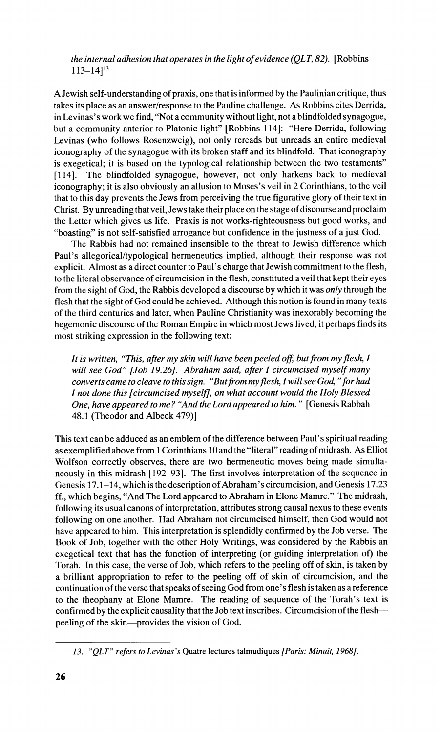**the internal adhesion that operates in the light of evidence (QLT, 82). [Robbins 113-14]13** 

**A Jewish self-understanding of praxis, one that is informed by the Paulinian critique, thus takes its place as an answer/response to the Pauline challenge. As Robbins cites Derrida, in Levinas's work we find, "Not a community without light, not a blindfolded synagogue, but a community anterior to Platonic light" [Robbins 114]: "Here Derrida, following Levinas (who follows Rosenzweig), not only rereads but unreads an entire medieval iconography of the synagogue with its broken staff and its blindfold. That iconography is exegetical; it is based on the typological relationship between the two testaments" [114]. The blindfolded synagogue, however, not only harkens back to medieval iconography; it is also obviously an allusion to Moses's veil in 2 Corinthians, to the veil that to this day prevents the Jews from perceiving the true figurative glory of their text in Christ. By unreading that veil, Jews take their place on the stage of discourse and proclaim the Letter which gives us life. Praxis is not works-righteousness but good works, and "boasting" is not self-satisfied arrogance but confidence in the justness of a just God.** 

**The Rabbis had not remained insensible to the threat to Jewish difference which Paul's allegorical/typological hermeneutics implied, although their response was not explicit. Almost as a direct counter to Paul's charge that Jewish commitment to the flesh, to the literal observance of circumcision in the flesh, constituted a veil that kept their eyes from the sight of God, the Rabbis developed a discourse by which it was only through the flesh that the sight of God could be achieved. Although this notion is found in many texts of the third centuries and later, when Pauline Christianity was inexorably becoming the hegemonic discourse of the Roman Empire in which most Jews lived, it perhaps finds its most striking expression in the following text:** 

**It is written, "This, after my skin will have been peeled off, but from my flesh, I will see God" [Job 19.26]. Abraham said, after I circumcised myself many converts came to cleave to this sign. "Butfrom myflesh, I will see God, "for had I not done this [circumcised myself], on what account would the Holy Blessed One, have appeared to me? "And the Lord appeared to him." [Genesis Rabbah 48.1 (Theodor and Albeck 479)]** 

**This text can be adduced as an emblem of the difference between Paul's spiritual reading as exemplified above from 1 Corinthians 10 and the "literal" reading of midrash. As Elliot Wolfson correctly observes, there are two hermeneutic moves being made simultaneously in this midrash [192-93]. The first involves interpretation of the sequence in Genesis 17.1-14, which is the description of Abraham's circumcision, and Genesis 17.23 ff., which begins, "And The Lord appeared to Abraham in Elone Mamre." The midrash, following its usual canons of interpretation, attributes strong causal nexus to these events following on one another. Had Abraham not circumcised himself, then God would not have appeared to him. This interpretation is splendidly confirmed by the Job verse. The Book of Job, together with the other Holy Writings, was considered by the Rabbis an exegetical text that has the function of interpreting (or guiding interpretation of) the Torah. In this case, the verse of Job, which refers to the peeling off of skin, is taken by a brilliant appropriation to refer to the peeling off of skin of circumcision, and the continuation of the verse that speaks of seeing God from one's flesh is taken as a reference to the theophany at Elone Mamre. The reading of sequence of the Torah's text is confirmed by the explicit causality that the Job text inscribes. Circumcision of the fleshpeeling of the skin-provides the vision of God.** 

**<sup>13. &</sup>quot;QLT" refers to Levinas's Quatre lectures talmudiques [Paris: Minuit, 1968].**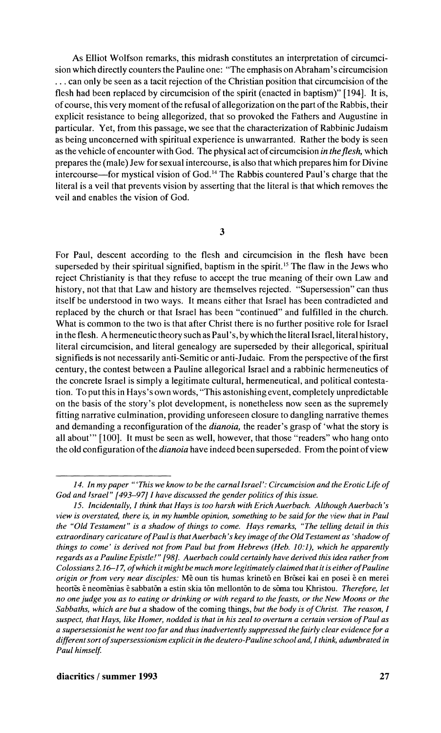**As Elliot Wolfson remarks, this midrash constitutes an interpretation of circumcision which directly counters the Pauline one: "The emphasis on Abraham's circumcision ... can only be seen as a tacit rejection of the Christian position that circumcision of the flesh had been replaced by circumcision of the spirit (enacted in baptism)" [194]. It is, of course, this very moment of the refusal of allegorization on the part of the Rabbis, their explicit resistance to being allegorized, that so provoked the Fathers and Augustine in particular. Yet, from this passage, we see that the characterization of Rabbinic Judaism as being unconcerned with spiritual experience is unwarranted. Rather the body is seen**  as the vehicle of encounter with God. The physical act of circumcision in the flesh, which **prepares the (male) Jew for sexual intercourse, is also that which prepares him for Divine intercourse-for mystical vision of God.14 The Rabbis countered Paul's charge that the literal is a veil that prevents vision by asserting that the literal is that which removes the veil and enables the vision of God.** 

**3** 

**For Paul, descent according to the flesh and circumcision in the flesh have been superseded by their spiritual signified, baptism in the spirit.15 The flaw in the Jews who reject Christianity is that they refuse to accept the true meaning of their own Law and history, not that that Law and history are themselves rejected. "Supersession" can thus itself be understood in two ways. It means either that Israel has been contradicted and replaced by the church or that Israel has been "continued" and fulfilled in the church. What is common to the two is that after Christ there is no further positive role for Israel in the flesh. A hermeneutic theory such as Paul's, by which the literal Israel, literal history, literal circumcision, and literal genealogy are superseded by their allegorical, spiritual signifieds is not necessarily anti-Semitic or anti-Judaic. From the perspective of the first century, the contest between a Pauline allegorical Israel and a rabbinic hermeneutics of the concrete Israel is simply a legitimate cultural, hermeneutical, and political contestation. To put this in Hays's own words, "This astonishing event, completely unpredictable on the basis of the story's plot development, is nonetheless now seen as the supremely fitting narrative culmination, providing unforeseen closure to dangling narrative themes and demanding a reconfiguration of the dianoia, the reader's grasp of 'what the story is all about"' [100]. It must be seen as well, however, that those "readers" who hang onto the old configuration of the dianoia have indeed been superseded. From the point of view** 

**<sup>14.</sup> In my paper "'This we know to be the carnal Israel': Circumcision and the Erotic Life of God and Israel" [493-97] I have discussed the gender politics of this issue.** 

**<sup>15.</sup> Incidentally, I think that Hays is too harsh with Erich Auerbach. Although Auerbach 's view is overstated, there is, in my humble opinion, something to be said for the view that in Paul the "Old Testament" is a shadow of things to come. Hays remarks, "The telling detail in this**  extraordinary caricature of Paul is that Auerbach's key image of the Old Testament as 'shadow of **things to come' is derived not from Paul but from Hebrews (Heb. 10:1), which he apparently regards as a Pauline Epistle!" [98]. Auerbach could certainly have derived this idea rather from**  Colossians 2.16-17, of which it might be much more legitimately claimed that it is either of Pauline **origin or from very near disciples: Me oun tis humas krineto en Brosei kai en posei e en merei**  heortes e neomenias e sabbaton a estin skia ton mellonton to de soma tou Khristou. Therefore, let **no one judge you as to eating or drinking or with regard to the feasts, or the New Moons or the Sabbaths, which are but a shadow of the coming things, but the body is of Christ. The reason, I suspect, that Hays, like Homer, nodded is that in his zeal to overturn a certain version of Paul as a supersessionist he went too far and thus inadvertently suppressed the fairly clear evidence for a different sort of supersessionism explicit in the deutero-Pauline school and, I think, adumbrated in Paul himself:**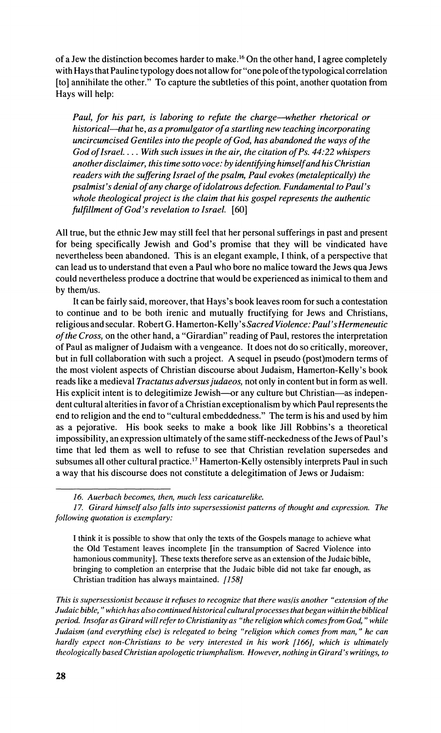**of a Jew the distinction becomes harder to make.16 On the other hand, I agree completely with Hays that Pauline typology does not allow for "one pole of the typological correlation [to] annihilate the other." To capture the subtleties of this point, another quotation from Hays will help:** 

**Paul, for his part, is laboring to refute the charge-whether rhetorical or historical-that he, as a promulgator of a startling new teaching incorporating uncircumcised Gentiles into the people of God, has abandoned the ways of the God ofIsrael.... With such issues in the air, the citation ofPs. 44:22 whispers another disclaimer, this time sotto voce: by identifying himself and his Christian readers with the suffering Israel of the psalm, Paul evokes (metaleptically) the psalmist's denial of any charge of idolatrous defection. Fundamental to Paul's whole theological project is the claim that his gospel represents the authentic fulfillment of God's revelation to Israel. [60]** 

**All true, but the ethnic Jew may still feel that her personal sufferings in past and present for being specifically Jewish and God's promise that they will be vindicated have nevertheless been abandoned. This is an elegant example, I think, of a perspective that can lead us to understand that even a Paul who bore no malice toward the Jews qua Jews could nevertheless produce a doctrine that would be experienced as inimical to them and by them/us.** 

**It can be fairly said, moreover, that Hays's book leaves room for such a contestation to continue and to be both irenic and mutually fructifying for Jews and Christians, religious and secular. Robert G. Hamerton-Kelly's Sacred Violence: Paul'sHermeneutic of the Cross, on the other hand, a "Girardian" reading of Paul, restores the interpretation of Paul as maligner of Judaism with a vengeance. It does not do so critically, moreover, but in full collaboration with such a project. A sequel in pseudo (post)modern terms of the most violent aspects of Christian discourse about Judaism, Hamerton-Kelly's book**  reads like a medieval *Tractatus adversus judaeos*, not only in content but in form as well. His explicit intent is to delegitimize Jewish—or any culture but Christian—as indepen**dent cultural alterities in favor of a Christian exceptionalism by which Paul represents the end to religion and the end to "cultural embeddedness." The term is his and used by him as a pejorative. His book seeks to make a book like Jill Robbins's a theoretical impossibility, an expression ultimately of the same stiff-neckedness of the Jews of Paul's time that led them as well to refuse to see that Christian revelation supersedes and**  subsumes all other cultural practice.<sup>17</sup> Hamerton-Kelly ostensibly interprets Paul in such **a way that his discourse does not constitute a delegitimation of Jews or Judaism:** 

**16. Auerbach becomes, then, much less caricaturelike.** 

**17. Girard himself also falls into supersessionist patterns of thought and expression. The following quotation is exemplary:** 

**I think it is possible to show that only the texts of the Gospels manage to achieve what the Old Testament leaves incomplete [in the transumption of Sacred Violence into hamonious community]. These texts therefore serve as an extension of the Judaic bible, bringing to completion an enterprise that the Judaic bible did not take far enough, as Christian tradition has always maintained. [158]** 

**This is supersessionist because it refuses to recognize that there was/is another "extension of the Judaic bible, " which has also continued historical culturalprocesses that began within the biblical period. Insofar as Girard will refer to Christianity as "the religion which comes from God, " while Judaism (and everything else) is relegated to being "religion which comes from man," he can hardly expect non-Christians to be very interested in his work [166], which is ultimately theologically based Christian apologetic triumphalism. However, nothing in Girard's writings, to**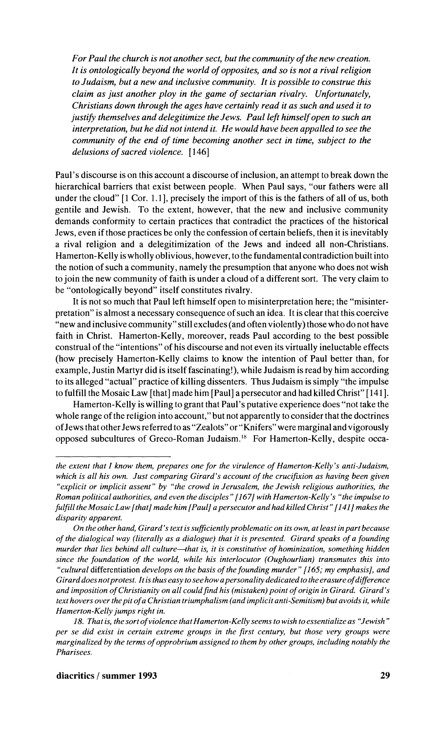**For Paul the church is not another sect, but the community of the new creation. It is ontologically beyond the world of opposites, and so is not a rival religion to Judaism, but a new and inclusive community. It is possible to construe this claim as just another ploy in the game of sectarian rivalry. Unfortunately, Christians down through the ages have certainly read it as such and used it to justify themselves and delegitimize the Jews. Paul left himself open to such an interpretation, but he did not intend it. He would have been appalled to see the community of the end of time becoming another sect in time, subject to the delusions of sacred violence. [146]** 

**Paul's discourse is on this account a discourse of inclusion, an attempt to break down the hierarchical barriers that exist between people. When Paul says, "our fathers were all under the cloud" [1 Cor. 1.1], precisely the import of this is the fathers of all of us, both gentile and Jewish. To the extent, however, that the new and inclusive community demands conformity to certain practices that contradict the practices of the historical Jews, even if those practices be only the confession of certain beliefs, then it is inevitably a rival religion and a delegitimization of the Jews and indeed all non-Christians. Hamerton-Kelly is wholly oblivious, however, to the fundamental contradiction built into the notion of such a community, namely the presumption that anyone who does not wish to join the new community of faith is under a cloud of a different sort. The very claim to be "ontologically beyond" itself constitutes rivalry.** 

**It is not so much that Paul left himself open to misinterpretation here; the "misinterpretation" is almost a necessary consequence of such an idea. It is clear that this coercive "new and inclusive community" still excludes (and often violently) those who do not have faith in Christ. Hamerton-Kelly, moreover, reads Paul according to the best possible construal of the "intentions" of his discourse and not even its virtually ineluctable effects (how precisely Hamerton-Kelly claims to know the intention of Paul better than, for example, Justin Martyr did is itself fascinating!), while Judaism is read by him according to its alleged "actual" practice of killing dissenters. Thus Judaism is simply "the impulse to fulfill the Mosaic Law [that] made him [Paul] a persecutor and had killed Christ" [141].** 

**Hamerton-Kelly is willing to grant that Paul's putative experience does "not take the whole range of the religion into account," but not apparently to consider that the doctrines of Jews that other Jews referred to as "Zealots" or "Knifers" were marginal and vigorously opposed subcultures of Greco-Roman Judaism.'8 For Hamerton-Kelly, despite occa-**

**the extent that I know them, prepares one for the virulence of Hamerton-Kelly's anti-Judaism, which is all his own. Just comparing Girard's account of the crucifixion as having been given "explicit or implicit assent" by "the crowd in Jerusalem, the Jewish religious authorities, the Roman political authorities, and even the disciples" [167] with Hamerton-Kelly's "the impulse to fulfill the Mosaic Law [that] made him [Paul] a persecutor and had killed Christ" [141] makes the disparity apparent.** 

**On the other hand, Girard's text is sufficiently problematic on its own, at least in part because of the dialogical way (literally as a dialogue) that it is presented. Girard speaks of a founding murder that lies behind all culture-that is, it is constitutive of hominization, something hidden since the foundation of the world, while his interlocutor (Oughourlian) transmutes this into "cultural differentiation develops on the basis of the founding murder" [165; my emphasis], and Girard does notprotest. It is thus easy to see how apersonality dedicated to the erasure of difference and imposition of Christianity on all could find his (mistaken) point of origin in Girard. Girard's text hovers over thepit of a Christian triumphalism (and implicit anti-Semitism) but avoids it, while Hamerton-Kelly jumps right in.** 

**<sup>18.</sup> That is, the sort of violence thatHamerton-Kelly seems to wish to essentialize as "Jewish" per se did exist in certain extreme groups in the first century, but those very groups were marginalized by the terms of opprobrium assigned to them by other groups, including notably the Pharisees.**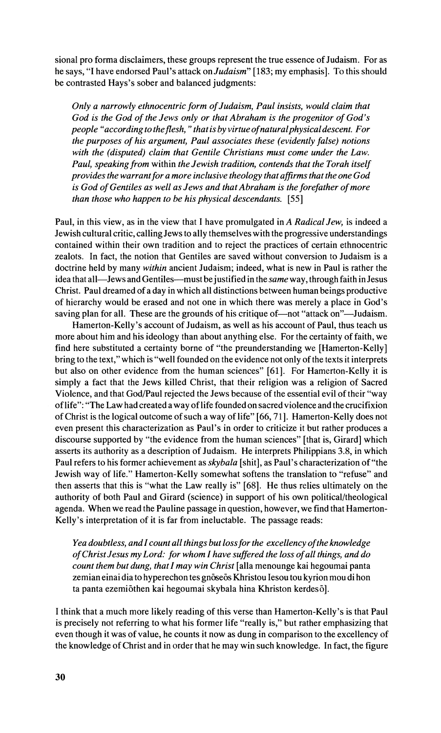**sional pro forma disclaimers, these groups represent the true essence of Judaism. For as he says, "I have endorsed Paul's attack on Judaism" [183; my emphasis]. To this should be contrasted Hays's sober and balanced judgments:** 

**Only a narrowly ethnocentric form of Judaism, Paul insists, would claim that God is the God of the Jews only or that Abraham is the progenitor of God's people "according to theflesh, "that is by virtue of naturalphysical descent. For the purposes of his argument, Paul associates these (evidently false) notions with the (disputed) claim that Gentile Christians must come under the Law. Paul, speaking from within the Jewish tradition, contends that the Torah itself provides the warrantfor a more inclusive theology that affirms that the one God is God of Gentiles as well as Jews and that Abraham is the forefather of more than those who happen to be his physical descendants. [55]** 

**Paul, in this view, as in the view that I have promulgated in A Radical Jew, is indeed a Jewish cultural critic, calling Jews to ally themselves with the progressive understandings contained within their own tradition and to reject the practices of certain ethnocentric zealots. In fact, the notion that Gentiles are saved without conversion to Judaism is a doctrine held by many within ancient Judaism; indeed, what is new in Paul is rather the idea that all-Jews and Gentiles-must be justified in the same way, through faith in Jesus Christ. Paul dreamed of a day in which all distinctions between human beings productive of hierarchy would be erased and not one in which there was merely a place in God's**  saving plan for all. These are the grounds of his critique of-not "attack on"-Judaism.

**Hamerton-Kelly's account of Judaism, as well as his account of Paul, thus teach us more about him and his ideology than about anything else. For the certainty of faith, we find here substituted a certainty borne of "the preunderstanding we [Hamerton-Kelly] bring to the text," which is "well founded on the evidence not only of the texts it interprets but also on other evidence from the human sciences" [61]. For Hamerton-Kelly it is simply a fact that the Jews killed Christ, that their religion was a religion of Sacred Violence, and that God/Paul rejected the Jews because of the essential evil of their "way of life": "The Law had created a way of life founded on sacred violence and the crucifixion of Christ is the logical outcome of such a way of life" [66, 71]. Hamerton-Kelly does not even present this characterization as Paul's in order to criticize it but rather produces a discourse supported by "the evidence from the human sciences" [that is, Girard] which asserts its authority as a description of Judaism. He interprets Philippians 3.8, in which Paul refers to his former achievement as skybala [shit], as Paul's characterization of "the Jewish way of life." Hamerton-Kelly somewhat softens the translation to "refuse" and then asserts that this is "what the Law really is" [68]. He thus relies ultimately on the authority of both Paul and Girard (science) in support of his own political/theological agenda. When we read the Pauline passage in question, however, we find that Hamerton-Kelly's interpretation of it is far from ineluctable. The passage reads:** 

**Yea doubtless, andI count all things but loss for the excellency of the knowledge of Christ Jesus my Lord: for whom I have suffered the loss of all things, and do count them but dung, that I may win Christ [alla menounge kai hegoumai panta**  zemian einai dia to hyperechon tes gnoseos Khristou Iesou tou kyrion mou di hon **ta panta ezemi6then kai hegoumai skybala hina Khriston kerdeso].** 

**I think that a much more likely reading of this verse than Hamerton-Kelly's is that Paul is precisely not referring to what his former life "really is," but rather emphasizing that even though it was of value, he counts it now as dung in comparison to the excellency of the knowledge of Christ and in order that he may win such knowledge. In fact, the figure**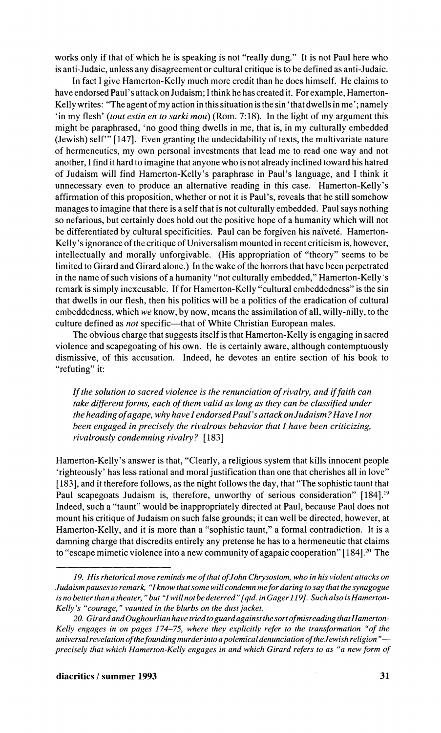**works only if that of which he is speaking is not "really dung." It is not Paul here who is anti-Judaic, unless any disagreement or cultural critique is to be defined as anti-Judaic.** 

**In fact I give Hamerton-Kelly much more credit than he does himself. He claims to have endorsed Paul's attack on Judaism; I think he has created it. For example, Hamerton-Kelly writes: "The agent of my action in this situation is the sin 'that dwells in me'; namely 'in my flesh' (tout estin en to sarki mou) (Rom. 7:18). In the light of my argument this might be paraphrased, 'no good thing dwells in me, that is, in my culturally embedded (Jewish) self"' [147]. Even granting the undecidability of texts, the multivariate nature of hermeneutics, my own personal investments that lead me to read one way and not another, I find it hard to imagine that anyone who is not already inclined toward his hatred of Judaism will find Hamerton-Kelly's paraphrase in Paul's language, and I think it unnecessary even to produce an alternative reading in this case. Hamerton-Kelly's affirmation of this proposition, whether or not it is Paul's, reveals that he still somehow manages to imagine that there is a self that is not culturally embedded. Paul says nothing so nefarious, but certainly does hold out the positive hope of a humanity which will not**  be differentiated by cultural specificities. Paul can be forgiven his naïveté. Hamerton-**Kelly's ignorance of the critique of Universalism mounted in recent criticism is, however, intellectually and morally unforgivable. (His appropriation of "theory" seems to be limited to Girard and Girard alone.) In the wake of the horrors that have been perpetrated in the name of such visions of a humanity "not culturally embedded," Hamerton-Kelly's remark is simply inexcusable. If for Hamerton-Kelly "cultural embeddedness" is the sin that dwells in our flesh, then his politics will be a politics of the eradication of cultural embeddedness, which we know, by now, means the assimilation of all, willy-nilly, to the**  culture defined as not specific-that of White Christian European males.

**The obvious charge that suggests itself is that Hamerton-Kelly is engaging in sacred violence and scapegoating of his own. He is certainly aware, although contemptuously dismissive, of this accusation. Indeed, he devotes an entire section of his book to "refuting" it:** 

**If the solution to sacred violence is the renunciation of rivalry, and iffaith can take different forms, each of them valid as long as they can be classified under the headingofagape, why have I endorsed Paul's attack on Judaism ?HaveI not been engaged in precisely the rivalrous behavior that I have been criticizing, rivalrously condemning rivalry? [183]** 

**Hamerton-Kelly's answer is that, "Clearly, a religious system that kills innocent people 'righteously' has less rational and moral justification than one that cherishes all in love" [183], and it therefore follows, as the night follows the day, that "The sophistic taunt that**  Paul scapegoats Judaism is, therefore, unworthy of serious consideration" [184].<sup>19</sup> **Indeed, such a "taunt" would be inappropriately directed at Paul, because Paul does not mount his critique of Judaism on such false grounds; it can well be directed, however, at Hamerton-Kelly, and it is more than a "sophistic taunt," a formal contradiction. It is a damning charge that discredits entirely any pretense he has to a hermeneutic that claims**  to "escape mimetic violence into a new community of agapaic cooperation" [184].<sup>20</sup> The

**<sup>19.</sup> His rhetorical move reminds me of that ofJohn Chrysostom, who in his violent attacks on Judaism pauses to remark, "I know that some will condemn me for daring to say that the synagogue is no better than a theater, " but "I will not be deterred " [qtd. in Gager 119]. Such also is Hamerton-Kelly's "courage, " vaunted in the blurbs on the dust jacket.** 

**<sup>20.</sup> Girard and Oughourlian have tried to guard against the sort of misreading thatHamerton-Kelly engages in on pages 174-75, where they explicitly refer to the transformation "of the universal revelation of the founding murder into apolemical denunciation of the Jewish religion " precisely that which Hamerton-Kelly engages in and which Girard refers to as "a new form of**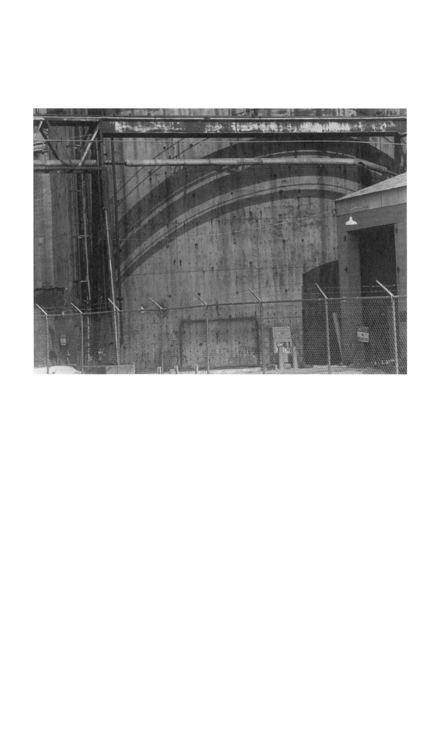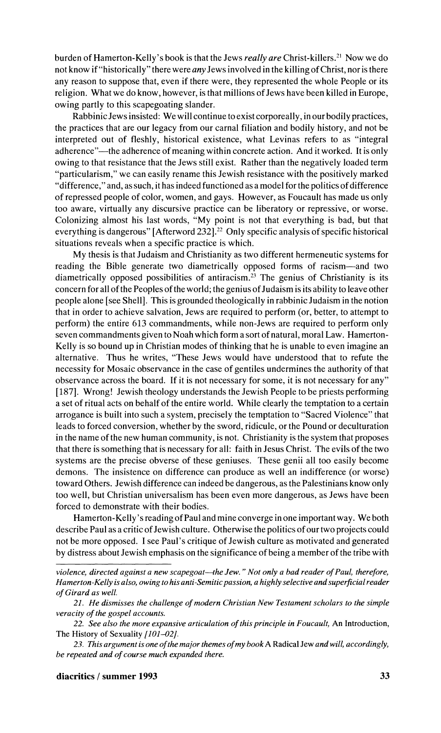**burden of Hamerton-Kelly's book is that the Jews really are Christ-killers.2' Now we do not know if "historically" there were any Jews involved in the killing of Christ, nor is there any reason to suppose that, even if there were, they represented the whole People or its religion. What we do know, however, is that millions of Jews have been killed in Europe, owing partly to this scapegoating slander.** 

**Rabbinic Jews insisted: We will continue to exist corporeally, in our bodily practices, the practices that are our legacy from our carnal filiation and bodily history, and not be interpreted out of fleshly, historical existence, what Levinas refers to as "integral adherence"-the adherence of meaning within concrete action. And it worked. It is only owing to that resistance that the Jews still exist. Rather than the negatively loaded term "particularism," we can easily rename this Jewish resistance with the positively marked "difference," and, as such, it has indeed functioned as a model for the politics of difference of repressed people of color, women, and gays. However, as Foucault has made us only too aware, virtually any discursive practice can be liberatory or repressive, or worse. Colonizing almost his last words, "My point is not that everything is bad, but that**  everything is dangerous" [Afterword 232].<sup>22</sup> Only specific analysis of specific historical **situations reveals when a specific practice is which.** 

**My thesis is that Judaism and Christianity as two different hermeneutic systems for reading the Bible generate two diametrically opposed forms of racism-and two diametrically opposed possibilities of antiracism.23 The genius of Christianity is its concern for all of the Peoples of the world; the genius of Judaism is its ability to leave other people alone [see Shell]. This is grounded theologically in rabbinic Judaism in the notion that in order to achieve salvation, Jews are required to perform (or, better, to attempt to perform) the entire 613 commandments, while non-Jews are required to perform only seven commandments given to Noah which form a sort of natural, moral Law. Hamerton-Kelly is so bound up in Christian modes of thinking that he is unable to even imagine an alternative. Thus he writes, "These Jews would have understood that to refute the necessity for Mosaic observance in the case of gentiles undermines the authority of that observance across the board. If it is not necessary for some, it is not necessary for any" [187]. Wrong! Jewish theology understands the Jewish People to be priests performing a set of ritual acts on behalf of the entire world. While clearly the temptation to a certain arrogance is built into such a system, precisely the temptation to "Sacred Violence" that leads to forced conversion, whether by the sword, ridicule, or the Pound or deculturation in the name of the new human community, is not. Christianity is the system that proposes that there is something that is necessary for all: faith in Jesus Christ. The evils of the two systems are the precise obverse of these geniuses. These genii all too easily become demons. The insistence on difference can produce as well an indifference (or worse) toward Others. Jewish difference can indeed be dangerous, as the Palestinians know only too well, but Christian universalism has been even more dangerous, as Jews have been forced to demonstrate with their bodies.** 

**Hamerton-Kelly's reading of Paul and mine converge in one important way. We both describe Paul as a critic of Jewish culture. Otherwise the politics of our two projects could not be more opposed. I see Paul's critique of Jewish culture as motivated and generated by distress about Jewish emphasis on the significance of being a member of the tribe with** 

**diacritics / summer 1993 33** 

violence, directed against a new scapegoat—the Jew." Not only a bad reader of Paul, therefore, **Hamerton-Kelly is also, owing to his anti-Semitic passion, a highly selective and superficial reader of Girard as well.** 

**<sup>21.</sup> He dismisses the challenge of modern Christian New Testament scholars to the simple veracity of the gospel accounts.** 

**<sup>22.</sup> See also the more expansive articulation of this principle in Foucault, An Introduction, The History of Sexuality [101-02].** 

**<sup>23.</sup> This argument is one of the major themes of my book A Radical Jew and will, accordingly, be repeated and of course much expanded there.**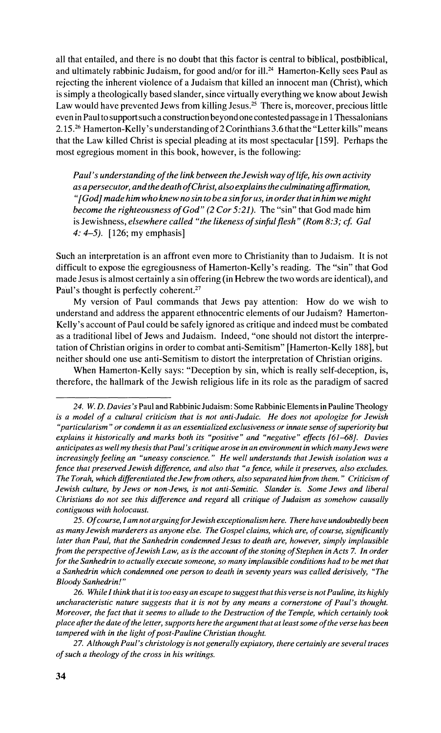**all that entailed, and there is no doubt that this factor is central to biblical, postbiblical,**  and ultimately rabbinic Judaism, for good and/or for ill.<sup>24</sup> Hamerton-Kelly sees Paul as **rejecting the inherent violence of a Judaism that killed an innocent man (Christ), which is simply a theologically based slander, since virtually everything we know about Jewish**  Law would have prevented Jews from killing Jesus.<sup>25</sup> There is, moreover, precious little **even in Paul to support such a construction beyond one contested passage in 1 Thessalonians 2.15.26 Hamerton-Kelly's understanding of 2 Corinthians 3.6 that the "Letter kills" means that the Law killed Christ is special pleading at its most spectacular [159]. Perhaps the most egregious moment in this book, however, is the following:** 

**Paul's understanding of the link between the Jewish way of life, his own activity as apersecutor, and the death of Christ, also explains the culminating affirmation, "[God] made him who knew no sin to be a sin for us, in order that in him we might become the righteousness of God" (2 Cor 5:21). The "sin" that God made him**  is Jewishness, elsewhere called "the likeness of sinful flesh" (Rom 8:3; cf. Gal **4: 4-5). [126; my emphasis]** 

**Such an interpretation is an affront even more to Christianity than to Judaism. It is not difficult to expose the egregiousness of Hamerton-Kelly's reading. The "sin" that God made Jesus is almost certainly a sin offering (in Hebrew the two words are identical), and Paul's thought is perfectly coherent.27** 

**My version of Paul commands that Jews pay attention: How do we wish to understand and address the apparent ethnocentric elements of our Judaism? Hamerton-Kelly's account of Paul could be safely ignored as critique and indeed must be combated as a traditional libel of Jews and Judaism. Indeed, "one should not distort the interpretation of Christian origins in order to combat anti-Semitism" [Hamerton-Kelly 188], but neither should one use anti-Semitism to distort the interpretation of Christian origins.** 

**When Hamerton-Kelly says: "Deception by sin, which is really self-deception, is, therefore, the hallmark of the Jewish religious life in its role as the paradigm of sacred** 

**27. Although Paul's christology is not generally expiatory, there certainly are several traces of such a theology of the cross in his writings.** 

**<sup>24.</sup> W. D. Davies's Paul and Rabbinic Judaism: Some Rabbinic Elements in Pauline Theology is a model of a cultural criticism that is not anti-Judaic. He does not apologize for Jewish "particularism " or condemn it as an essentialized exclusiveness or innate sense of superiority but explains it historically and marks both its "positive" and "negative" effects [61-68]. Davies anticipates as well my thesis that Paul's critique arose in an environment in which many Jews were increasingly feeling an "uneasy conscience. " He well understands that Jewish isolation was a fence that preserved Jewish difference, and also that "a fence, while it preserves, also excludes. The Torah, which differentiated the Jew from others, also separated him from them." Criticism of Jewish culture, by Jews or non-Jews, is not anti-Semitic. Slander is. Some Jews and liberal Christians do not see this difference and regard all critique of Judaism as somehow causally contiguous with holocaust.** 

**<sup>25.</sup> Of course, I am not arguingforJewish exceptionalism here. There have undoubtedly been as many Jewish murderers as anyone else. The Gospel claims, which are, of course, significantly later than Paul, that the Sanhedrin condemned Jesus to death are, however, simply implausible from the perspective of Jewish Law, as is the account of the stoning of Stephen in Acts 7. In order for the Sanhedrin to actually execute someone, so many implausible conditions had to be met that a Sanhedrin which condemned one person to death in seventy years was called derisively, "The Bloody Sanhedrin!"** 

**<sup>26.</sup> WhileI think that it is too easy an escape to suggest that this verse is notPauline, its highly uncharacteristic nature suggests that it is not by any means a cornerstone of Paul's thought. Moreover, the fact that it seems to allude to the Destruction of the Temple, which certainly took place after the date of the letter, supports here the argument that at least some of the verse has been tampered with in the light of post-Pauline Christian thought.**